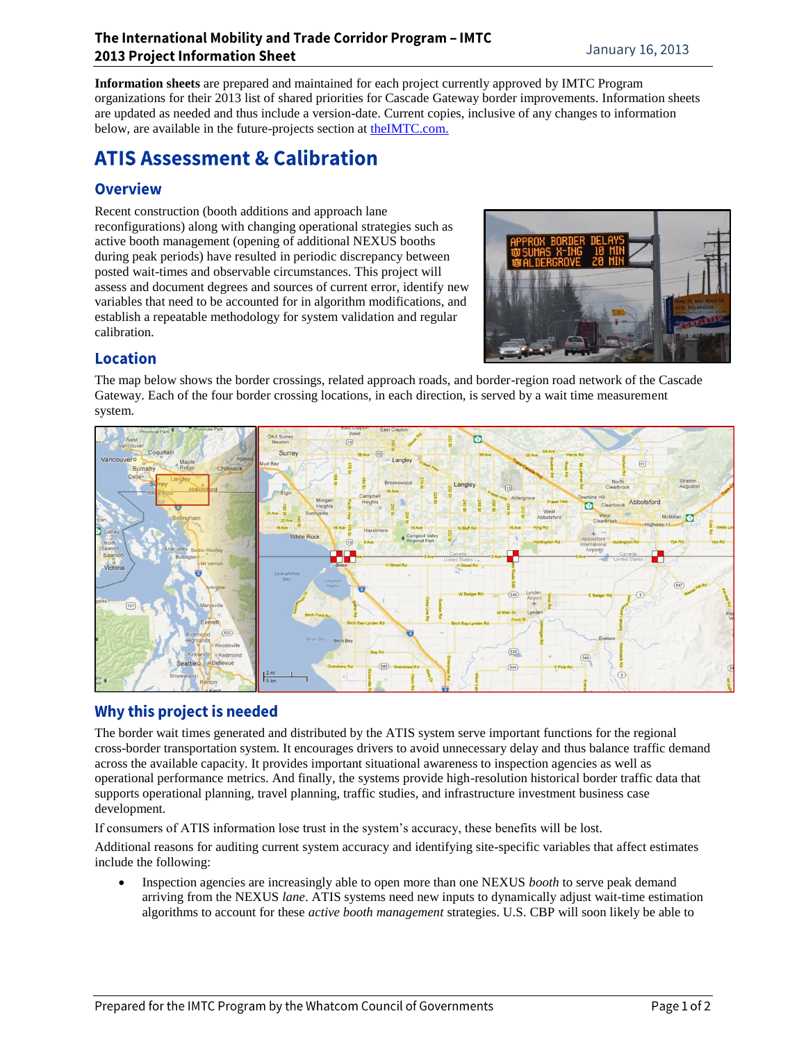**Information sheets** are prepared and maintained for each project currently approved by IMTC Program organizations for their 2013 list of shared priorities for Cascade Gateway border improvements. Information sheets are updated as needed and thus include a version-date. Current copies, inclusive of any changes to information below, are available in the future-projects section at [theIMTC.com.](http://www.theimtc.com/)

# **ATIS Assessment & Calibration**

## **Overview**

Recent construction (booth additions and approach lane reconfigurations) along with changing operational strategies such as active booth management (opening of additional NEXUS booths during peak periods) have resulted in periodic discrepancy between posted wait-times and observable circumstances. This project will assess and document degrees and sources of current error, identify new variables that need to be accounted for in algorithm modifications, and establish a repeatable methodology for system validation and regular calibration.



# **Location**

The map below shows the border crossings, related approach roads, and border-region road network of the Cascade Gateway. Each of the four border crossing locations, in each direction, is served by a wait time measurement system.



# Why this project is needed

The border wait times generated and distributed by the ATIS system serve important functions for the regional cross-border transportation system. It encourages drivers to avoid unnecessary delay and thus balance traffic demand across the available capacity. It provides important situational awareness to inspection agencies as well as operational performance metrics. And finally, the systems provide high-resolution historical border traffic data that supports operational planning, travel planning, traffic studies, and infrastructure investment business case development.

If consumers of ATIS information lose trust in the system's accuracy, these benefits will be lost.

Additional reasons for auditing current system accuracy and identifying site-specific variables that affect estimates include the following:

 Inspection agencies are increasingly able to open more than one NEXUS *booth* to serve peak demand arriving from the NEXUS *lane*. ATIS systems need new inputs to dynamically adjust wait-time estimation algorithms to account for these *active booth management* strategies. U.S. CBP will soon likely be able to